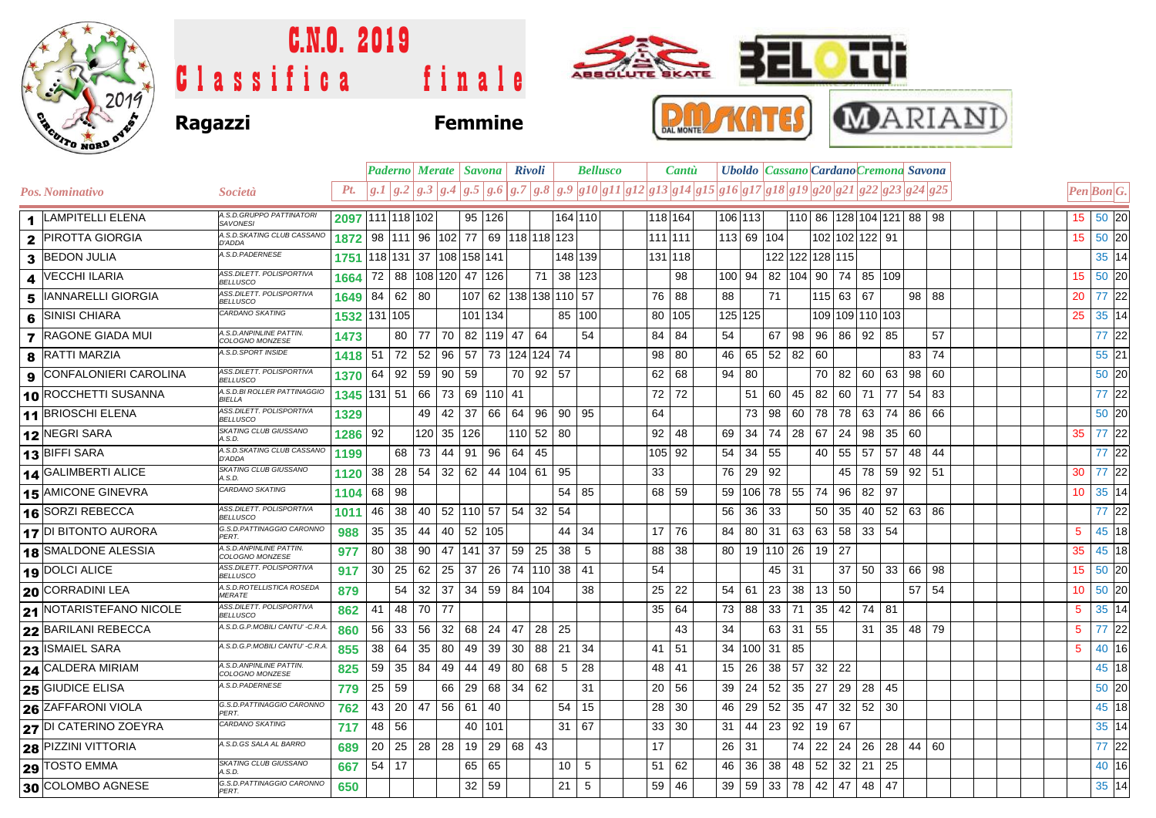

## C.N.O. 2019  $\bullet$ tti **BEL** ABBOLLTE BKATE Classifica finale **RMAKATES MARIAND Ragazzi Femmine**

|                                                 |                                              |         |                            |              |              | Paderno Merate   Savona |           | Rivoli         |                                 | <b>Bellusco</b>                                                                                                                                                               |         | Cantù |         |            |                             |                      |                 |    | Uboldo   Cassano   Cardano Cremona Savona |     |         |     |                 |                   |
|-------------------------------------------------|----------------------------------------------|---------|----------------------------|--------------|--------------|-------------------------|-----------|----------------|---------------------------------|-------------------------------------------------------------------------------------------------------------------------------------------------------------------------------|---------|-------|---------|------------|-----------------------------|----------------------|-----------------|----|-------------------------------------------|-----|---------|-----|-----------------|-------------------|
| <b>Pos. Nominativo</b>                          | Società                                      | Pt.     |                            |              |              |                         |           |                |                                 | $ g_1   g_2   g_3   g_3   g_4   g_5   g_6   g_7   g_8   g_9   g_10   g_11   g_12   g_13   g_14   g_15   g_16   g_17   g_18   g_19   g_20   g_21   g_22   g_23   g_24   g_25 $ |         |       |         |            |                             |                      |                 |    |                                           |     |         |     | Pen Bon G.      |                   |
| <b>LAMPITELLI ELENA</b><br>$\blacktriangleleft$ | A.S.D.GRUPPO PATTINATORI<br><b>SAVONESI</b>  |         | 2097 111 118 102           |              |              |                         | 95 126    |                |                                 | 164 110                                                                                                                                                                       | 118 164 |       |         | 106 113    |                             |                      |                 |    | 110 86 128 104 121 88 98                  |     |         |     | 15 50 20        |                   |
| <b>PIROTTA GIORGIA</b><br>$\mathbf{2}$          | A.S.D.SKATING CLUB CASSANO<br>D'ADDA         | 1872    |                            |              |              |                         |           |                | 98 111 96 102 77 69 118 118 123 |                                                                                                                                                                               | 111 111 |       |         | 113 69 104 |                             |                      |                 |    | 102 102 122 91                            |     |         |     | 15 50 20        |                   |
| <b>BEDON JULIA</b><br>3                         | A.S.D.PADERNESE                              |         | 1751 18 131 37 108 158 141 |              |              |                         |           |                |                                 | 148 139                                                                                                                                                                       | 131 118 |       |         |            |                             |                      | 122 122 128 115 |    |                                           |     |         |     |                 | 35 14             |
| <b>VECCHI ILARIA</b><br>4                       | ASS.DILETT. POLISPORTIVA<br><b>BELLUSCO</b>  | 1664    | 72 88                      |              |              | 108 120 47              | 126       |                | 71                              | 38   123                                                                                                                                                                      |         | 98    | 100 94  |            | 82 104 90                   |                      |                 | 74 | 85 109                                    |     |         |     | 15              | 50 20             |
| IANNARELLI GIORGIA<br>5                         | ASS.DILETT. POLISPORTIVA<br><b>BELLUSCO</b>  | 1649    | 84 62                      | 80           |              |                         |           |                | 107 62 138 138 110 57           |                                                                                                                                                                               | 76      | 88    | 88      |            | 71                          |                      | $115$ 63        |    | 67                                        |     | 98 88   |     | 20              | 77 22             |
| <b>SINISI CHIARA</b><br>6                       | CARDANO SKATING                              |         | 1532 131 105               |              |              |                         | 101 134   |                |                                 | 85 100                                                                                                                                                                        | 80      | 105   | 125 125 |            |                             |                      |                 |    | 109 109 110 103                           |     |         |     | 25              | 35 14             |
| <b>RAGONE GIADA MUI</b><br>$\overline{7}$       | A.S.D. ANPINLINE PATTIN.<br>COLOGNO MONZESE  | 1473    |                            | 80           | 77<br>70     |                         | 82 119 47 |                | 64                              | 54                                                                                                                                                                            | 84      | 84    | 54      |            | 67                          | 98                   | 96              | 86 | 92                                        | 85  |         | 57  |                 | 77 22             |
| <b>RATTI MARZIA</b><br>8                        | A.S.D.SPORT INSIDE                           | 1418    | 51                         | 72           | 52<br>96     | 57                      |           |                | 73 124 124 74                   |                                                                                                                                                                               | 98      | 80    | 46      |            | $65$ 52 82 60               |                      |                 |    |                                           |     | 83      | 74  |                 | 55 21             |
| <b>CONFALONIERI CAROLINA</b><br>9               | ASS.DILETT. POLISPORTIVA<br><b>BELLUSCO</b>  | 1370    | 64 92                      |              | 59<br>90     | 59                      |           | 70             | 92<br>57                        |                                                                                                                                                                               | 62      | 68    | 94      | -80        |                             |                      | 70              | 82 | 60                                        | 63  | 98 60   |     |                 | 50 20             |
| 10 ROCCHETTI SUSANNA                            | A.S.D.BI ROLLER PATTINAGGIC<br><i>BIELLA</i> |         | 1345 131 51                |              | 66<br>73     |                         | 69 110 41 |                |                                 |                                                                                                                                                                               | 72      | 72    |         | 51         | 60                          | 45                   | 82              | 60 | 71                                        | 77  | 54      | 83  |                 | 77 22             |
| 11 BRIOSCHI ELENA                               | ASS.DILETT. POLISPORTIVA<br><b>BELLUSCO</b>  | 1329    |                            |              | 42<br>49     | 37                      | 66        | 64             | 96                              | 90 95                                                                                                                                                                         | 64      |       |         | 73         | 98                          | 60 78                |                 | 78 | 63                                        | 74  | 86 66   |     |                 | 50 20             |
| 12 NEGRI SARA                                   | SKATING CLUB GIUSSANO<br>A.S.D.              | 1286 92 |                            |              | 120 35       | 126                     |           | 110 52         | 80                              |                                                                                                                                                                               | 92      | 48    | 69      | 34         | 74                          | 28 67                |                 | 24 | 98                                        | 35  | 60      |     | 35              | 77 22             |
| 13 BIFFI SARA                                   | A.S.D.SKATING CLUB CASSANO<br><b>D'ADDA</b>  | 1199    |                            | 68           | 73<br>44     | 91                      | 96        | 64             | 45                              |                                                                                                                                                                               | 105 92  |       | 54      | 34         | 55                          |                      | 40              | 55 | 57                                        | 57  | 48      | 44  |                 | 77 22             |
| 14 GALIMBERTI ALICE                             | SKATING CLUB GIUSSANO<br>A.S.D.              | 1120    | 38                         | 28           | 54<br>32     |                         |           | $62$ 44 104 61 | 95                              |                                                                                                                                                                               | 33      |       | 76      | 29         | 92                          |                      |                 | 45 | 78                                        | 59  | 92   51 |     | 30              | 77 22             |
| 15 AMICONE GINEVRA                              | CARDANO SKATING                              | 1104    | 68                         | 98           |              |                         |           |                |                                 | $54$ 85                                                                                                                                                                       | 68 l    | 59    | 59      |            | 106 78 55 74                |                      |                 | 96 | 82                                        | 97  |         |     | 10              | 35 14             |
| 16 SORZI REBECCA                                | ASS.DILETT. POLISPORTIVA<br><b>BELLUSCO</b>  | 1011    | 46                         | -38          | 40<br>52     |                         | 110 57    | 54             | 32<br>54                        |                                                                                                                                                                               |         |       | 56      | 36         | 33                          |                      | 50              | 35 | 40                                        | 52  | 63 86   |     |                 | 77 22             |
| 17 DI BITONTO AURORA                            | G.S.D.PATTINAGGIO CARONNO<br>PFRT.           | 988     | 35                         | 35           | 44<br>40     | 52                      | 105       |                | 44                              | 34                                                                                                                                                                            | 17      | 76    | 84      | 80         | 31                          | 63                   | 63              | 58 | 33                                        | -54 |         |     | 5               | 45 18             |
| 18 SMALDONE ALESSIA                             | A.S.D. ANPINLINE PATTIN.<br>COLOGNO MONZESE  | 977     | 80                         | 38           | $90 \mid 47$ |                         | 141 37    | 59             | 25<br>38                        | 5                                                                                                                                                                             | 88      | 38    | 80      |            | 19   110   26   19          |                      |                 | 27 |                                           |     |         |     | 35              | 45 18             |
| 19 DOLCI ALICE                                  | ASS.DILETT, POLISPORTIVA<br><b>BELLUSCO</b>  | 917     | 30                         | 25           | 62<br>25     | 37                      | 26        |                | 74   110   38                   | 41                                                                                                                                                                            | 54      |       |         |            | 45                          | -31                  |                 | 37 | 50                                        | 33  | 66      | -98 | 15              | 50 20             |
| 20 CORRADINI LEA                                | A.S.D.ROTELLISTICA ROSEDA<br><i>MERATE</i>   | 879     |                            | 54           | 32<br>37     | 34                      | 59        | 84   104       |                                 | 38                                                                                                                                                                            | 25      | 22    | 54      | -61        | 23                          | 38                   | $\vert$ 13      | 50 |                                           |     | 57      | -54 | 10 <sup>°</sup> | 50 20             |
| 21 NOTARISTEFANO NICOLE                         | ASS.DILETT. POLISPORTIVA<br><b>BELLUSCO</b>  | 862     | 41                         | 48           | 70 77        |                         |           |                |                                 |                                                                                                                                                                               | 35      | 64    |         | 73 88      |                             | $33 \mid 71 \mid 35$ |                 | 42 | 74                                        | 81  |         |     | 5               | 35 14             |
| 22 BARILANI REBECCA                             | A.S.D.G.P.MOBILI CANTU' -C.R.A               | 860     | 56                         | $ 33\rangle$ | 56<br>32     | 68                      | 24        | 47             | 28<br>25                        |                                                                                                                                                                               |         | 43    | 34      |            |                             | 63 31 55             |                 |    | 31                                        | 35  | 48 79   |     | 5               | 77 22             |
| 23 ISMAIEL SARA                                 | A.S.D.G.P.MOBILI CANTU' -C.R.A               | 855     | 38                         | 64           | 35<br>80     | 49                      | 39        | 30             | 88<br>21                        | 34                                                                                                                                                                            | 41      | 51    |         |            | 34   100   31               | 85                   |                 |    |                                           |     |         |     | 5               | 40 16             |
| 24 CALDERA MIRIAM                               | A.S.D. ANPINLINE PATTIN.<br>COLOGNO MONZESE  | 825     | 59                         | 35           | 84<br>49     | 44                      | 49        | 80             | 68<br>5                         | 28                                                                                                                                                                            | 48      | 41    | 15      | 26         | 38                          | 57                   | 32              | 22 |                                           |     |         |     |                 | 45 18             |
| 25 GIUDICE ELISA                                | A.S.D.PADERNESE                              | 779     | 25                         | 59           | 66           | 29                      | 68        | 34             | 62                              | 31                                                                                                                                                                            | 20      | 56    | 39      | 24         | 52                          | 35                   | $\sqrt{27}$     | 29 | 28                                        | 45  |         |     |                 | 50 20             |
| <b>26 ZAFFARONI VIOLA</b>                       | G.S.D.PATTINAGGIO CARONNO<br>PERT            | 762     | 43                         | 20           | 47<br>56     | 61                      | 40        |                | 54                              | 15                                                                                                                                                                            | 28      | 30    | 46      | 29         | 52                          | 35                   | 47              | 32 | 52                                        | 30  |         |     |                 | 45 18             |
| 27 DI CATERINO ZOEYRA                           | CARDANO SKATING                              | 717     | 48 56                      |              |              | 40                      | 101       |                | 31                              | 67                                                                                                                                                                            | 33      | 30    | 31      | 44         | 23                          | 92                   | 19              | 67 |                                           |     |         |     |                 | 35 14             |
| <b>28 PIZZINI VITTORIA</b>                      | A.S.D.GS SALA AL BARRO                       | 689     | 20                         | 25           | 28 28        | 19                      | 29        | 68             | 43                              |                                                                                                                                                                               | 17      |       | 26      | -31        |                             | 74                   | 22              | 24 | 26                                        | 28  | 44 60   |     |                 | 77 22             |
| 29 TOSTO EMMA                                   | SKATING CLUB GIUSSANO<br>A.S.D               | 667     | 54 17                      |              |              | 65                      | 65        |                | 10                              | 5                                                                                                                                                                             | 51      | 62    | 46      | 36         | 38                          | 48                   | 52              | 32 | 21                                        | 25  |         |     |                 | 40 16             |
| 30 COLOMBO AGNESE                               | G.S.D.PATTINAGGIO CARONNO<br>PFRT            | 650     |                            |              |              |                         | 32 59     |                | 21                              | 5                                                                                                                                                                             | 59      | 46    |         |            | 39   59   33   78   42   47 |                      |                 |    | 48                                        | 47  |         |     |                 | $35\overline{14}$ |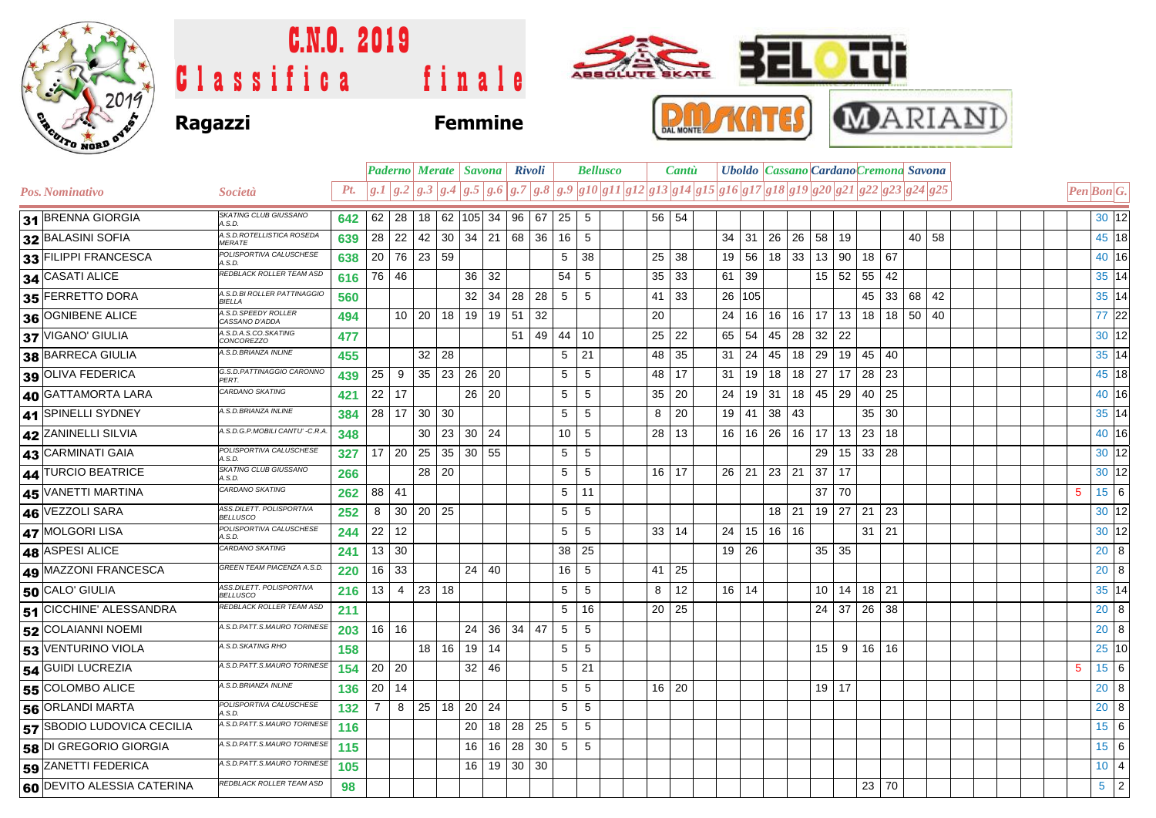

## C.N.O. 2019 ABBOLUTE BKATE Classifica finale **Ragazzi Femmine**



| $\sim$ Non-              |                                              |     |           |       |                         |                   |                                             |    |                                   |    |    |                                                                                                                                                                                                                                |       |    |              |                                              |              |                 |                   |    |            |    |                                  |         |    |  |  |                                              |       |  |
|--------------------------|----------------------------------------------|-----|-----------|-------|-------------------------|-------------------|---------------------------------------------|----|-----------------------------------|----|----|--------------------------------------------------------------------------------------------------------------------------------------------------------------------------------------------------------------------------------|-------|----|--------------|----------------------------------------------|--------------|-----------------|-------------------|----|------------|----|----------------------------------|---------|----|--|--|----------------------------------------------|-------|--|
|                          |                                              |     |           |       | Paderno Merate   Savona |                   | <b>Rivoli</b>                               |    | <b>Bellusco</b>                   |    |    |                                                                                                                                                                                                                                | Cantù |    |              | <b>Uboldo</b> Cassano Cardano Cremona Savona |              |                 |                   |    |            |    |                                  |         |    |  |  |                                              |       |  |
| Pos. Nominativo          | Società                                      |     |           |       |                         |                   |                                             |    |                                   |    |    | Pt. $ g.1 g.2 g.3 g.4 g.5 g.6 g.7 g.8 g.9 g10 g11 g12 g13 g14 g15 g16 g17 g18 g19 g20 g21 g22 g23 g24 g25 g24 g25 g25 g24 g25 g25 g26 g25 g26 g25 g26 g26 g27 g28 g28 g27 g28 g28 g28 g29 g29 g21 g22 g23 g24 g25 g24 g25 g24$ |       |    |              |                                              |              |                 |                   |    |            |    |                                  |         |    |  |  | $\left  Pen\right $ <i>Bon</i> <sup>G.</sup> |       |  |
| 31 BRENNA GIORGIA        | <b>SKATING CLUB GIUSSANO</b><br>A.S.D.       | 642 |           |       |                         |                   | 62   28   18   62   105   34   96   67   25 |    |                                   |    |    | -5                                                                                                                                                                                                                             |       |    | 56 54        |                                              |              |                 |                   |    |            |    |                                  |         |    |  |  |                                              | 30 12 |  |
| 32 BALASINI SOFIA        | A.S.D.ROTELLISTICA ROSEDA<br><i>MERATE</i>   | 639 |           | 28 22 |                         | $42 \mid 30 \mid$ |                                             |    | 34 21 68 36 16                    |    |    |                                                                                                                                                                                                                                |       |    |              |                                              | $34 \mid 31$ |                 | 26 26 58          |    | 19         |    |                                  | 40      | 58 |  |  |                                              | 45 18 |  |
| 33 FILIPPI FRANCESCA     | POLISPORTIVA CALUSCHESE                      | 638 | <b>20</b> |       | 76 23 59                |                   |                                             |    |                                   |    |    | 38                                                                                                                                                                                                                             |       |    | $25 \mid 38$ |                                              | 19 56        |                 | $18$ 33           |    | 13 90      |    | 18 67                            |         |    |  |  |                                              | 40 16 |  |
| 34 CASATI ALICE          | <b>REDBLACK ROLLER TEAM ASD</b>              | 616 | 76        | -46   |                         |                   | 36                                          | 32 |                                   |    | 54 |                                                                                                                                                                                                                                |       | 35 | 33           | 61                                           | 39           |                 |                   | 15 | 52         | 55 | 42                               |         |    |  |  |                                              | 35 14 |  |
| 35 FERRETTO DORA         | A.S.D.BI ROLLER PATTINAGGIO<br><b>BIFLLA</b> | 560 |           |       |                         |                   | 32                                          |    | $34 \overline{\smash{\big)}\ 28}$ | 28 | -5 |                                                                                                                                                                                                                                |       | 41 | 33           |                                              | 26 105       |                 |                   |    |            | 45 | 33 <sup>1</sup>                  | 68      | 42 |  |  |                                              | 35 14 |  |
| 36 OGNIBENE ALICE        | A.S.D. SPEEDY ROLLER<br>CASSANO D'ADDA       | 494 |           | 10    | 20                      | 18                | 19                                          |    | 19 51                             | 32 |    |                                                                                                                                                                                                                                |       | 20 |              | 24                                           | 16           | 16 <sup>1</sup> |                   |    | $16$ 17 13 | 18 |                                  | $18$ 50 | 40 |  |  |                                              | 77 22 |  |
| 37 VIGANO' GIULIA        | A.S.D.A.S.CO.SKATING<br><b>CONCOREZZO</b>    | 477 |           |       |                         |                   |                                             |    | 51                                |    |    | 49 44 10                                                                                                                                                                                                                       |       |    | $25 \mid 22$ |                                              | 65 54        |                 | 45   28   32   22 |    |            |    |                                  |         |    |  |  |                                              | 30 12 |  |
| <b>38 BARRECA GIULIA</b> | A.S.D.BRIANZA INLINE                         | 455 |           |       |                         | $32 \mid 28$      |                                             |    |                                   |    | -5 | 21                                                                                                                                                                                                                             |       |    | 48 35        | 31                                           |              |                 |                   |    |            |    | 24   45   18   29   19   45   40 |         |    |  |  |                                              | 35 14 |  |

| 31 BRENNA GIORGIA          | SKATING CLUB GIUSSANO<br>A.S.D.             | 642 | 62             | 28                                |              |    |                 |       |                | 18 62 105 34 96 67 | 25 | 5  |  | 56 <sup>1</sup> | 54 |    |              |         |                |              |                          |    |                 |                 |       |  |   | 30 12           |  |
|----------------------------|---------------------------------------------|-----|----------------|-----------------------------------|--------------|----|-----------------|-------|----------------|--------------------|----|----|--|-----------------|----|----|--------------|---------|----------------|--------------|--------------------------|----|-----------------|-----------------|-------|--|---|-----------------|--|
| 32 BALASINI SOFIA          | A.S.D.ROTELLISTICA ROSEDA<br><b>MERATE</b>  | 639 |                | 28 22                             |              |    | 42 30 34 21     |       |                | 68 36              | 16 | 5  |  |                 |    | 34 | 31           | 26      | 26             | 58           | 19                       |    |                 |                 | 40 58 |  |   | 45 18           |  |
| 33 FILIPPI FRANCESCA       | POLISPORTIVA CALUSCHESE<br>A.S.D.           | 638 |                | 20   76   23   59                 |              |    |                 |       |                |                    | 5  | 38 |  | 25              | 38 | 19 |              |         |                |              | $56$   18   33   13   90 |    | 18 67           |                 |       |  |   | 40 16           |  |
| 34 CASATI ALICE            | REDBLACK ROLLER TEAM ASD                    | 616 |                | 76 46                             |              |    | 36              | 32    |                |                    | 54 | 5  |  | 35              | 33 | 61 | 39           |         |                | 15           | 52                       | 55 | 42              |                 |       |  |   | 35 14           |  |
| 35 FERRETTO DORA           | A.S.D.BI ROLLER PATTINAGGIO<br>BIELLA       | 560 |                |                                   |              |    | 32              | 34    | 28             | 28                 | 5  | 5  |  | 41              | 33 | 26 | 105          |         |                |              |                          | 45 | 33              | 68              | 42    |  |   | 35 14           |  |
| 36 OGNIBENE ALICE          | A.S.D. SPEEDY ROLLER<br>CASSANO D'ADDA      | 494 |                | 10 <sup>°</sup>                   | 20           | 18 | 19              | 19    | 51             | 32                 |    |    |  | 20              |    | 24 | 16           | 16      |                | $16$ 17      | 13                       | 18 | 18              | 50 <sup>1</sup> | 40    |  |   | 77 22           |  |
| 37 VIGANO' GIULIA          | A.S.D.A.S.CO.SKATING<br><b>CONCOREZZO</b>   | 477 |                |                                   |              |    |                 |       | 51             | 49                 | 44 | 10 |  | 25              | 22 | 65 | 54           | 45      |                | $28$ 32      | 22                       |    |                 |                 |       |  |   | 30 12           |  |
| 38 BARRECA GIULIA          | A.S.D.BRIANZA INLINE                        | 455 |                |                                   | $32$ 28      |    |                 |       |                |                    | 5  | 21 |  | 48              | 35 | 31 | 24           | 45      |                | $18$ 29      | 19                       | 45 | 40              |                 |       |  |   | 35 14           |  |
| 39 OLIVA FEDERICA          | G.S.D.PATTINAGGIO CARONNO<br>PERT.          | 439 | 25             | 9                                 | $35 \mid 23$ |    | 26              | 20    |                |                    | 5  | 5  |  | 48              | 17 | 31 |              | 19 18   |                | $18$ 27      | 17                       | 28 | $\overline{23}$ |                 |       |  |   | 45 18           |  |
| 40 GATTAMORTA LARA         | CARDANO SKATING                             | 421 |                | $22$ 17                           |              |    |                 | 26 20 |                |                    | 5  | 5  |  | 35              | 20 | 24 |              | $19$ 31 |                | $18 \mid 45$ | 29                       | 40 | 25              |                 |       |  |   | 40 16           |  |
| 41 SPINELLI SYDNEY         | A.S.D.BRIANZA INLINE                        | 384 |                | 28 17                             | 30 30        |    |                 |       |                |                    | 5  | 5  |  | 8               | 20 | 19 | 41           | 38      | 43             |              |                          | 35 | 30              |                 |       |  |   | 35 14           |  |
| 42 ZANINELLI SILVIA        | A.S.D.G.P.MOBILI CANTU' -C.R.A.             | 348 |                |                                   | $30 \mid 23$ |    | 30              | 24    |                |                    | 10 | 5  |  | 28              | 13 | 16 |              | 16 26   | 16             | 17           | 13                       | 23 | 18              |                 |       |  |   | 40 16           |  |
| 43 CARMINATI GAIA          | POLISPORTIVA CALUSCHESE<br>A.S.D.           | 327 |                | $17 \overline{\smash{\big)}\ 20}$ | $25 \mid 35$ |    | 30 55           |       |                |                    | 5  | 5  |  |                 |    |    |              |         |                | 29           | 15 <sup>1</sup>          |    | 33 28           |                 |       |  |   | 30 12           |  |
| 44 TURCIO BEATRICE         | SKATING CLUB GIUSSANO<br>A.S.D.             | 266 |                |                                   | 28 20        |    |                 |       |                |                    | 5  | 5  |  | 16              | 17 |    | $26$   21    |         | 23 21          | 37           | 17                       |    |                 |                 |       |  |   | 30 12           |  |
| 45 VANETTI MARTINA         | CARDANO SKATING                             | 262 |                | 88 41                             |              |    |                 |       |                |                    | 5  | 11 |  |                 |    |    |              |         |                | 37           | 70                       |    |                 |                 |       |  | 5 | $15 \quad 6$    |  |
| 46 VEZZOLI SARA            | ASS.DILETT. POLISPORTIVA<br><b>BELLUSCO</b> | 252 | 8              | 30                                | 20 25        |    |                 |       |                |                    | 5  | 5  |  |                 |    |    |              |         | $18$ 21        |              | $19 \mid 27$             | 21 | 23              |                 |       |  |   | 30 12           |  |
| 47 MOLGORI LISA            | POLISPORTIVA CALUSCHESE<br>A.S.D.           | 244 |                | $22$ 12                           |              |    |                 |       |                |                    | 5  | 5  |  | 33              | 14 | 24 |              |         | $15$   16   16 |              |                          | 31 | 21              |                 |       |  |   | 30 12           |  |
| 48 ASPESI ALICE            | CARDANO SKATING                             | 241 |                | $13 \mid 30$                      |              |    |                 |       |                |                    | 38 | 25 |  |                 |    |    | $19 \mid 26$ |         |                |              | 35 35                    |    |                 |                 |       |  |   | $20 \vert 8$    |  |
| 49 MAZZONI FRANCESCA       | GREEN TEAM PIACENZA A.S.D.                  | 220 |                | 16 33                             |              |    |                 | 24 40 |                |                    | 16 | 5  |  | 41              | 25 |    |              |         |                |              |                          |    |                 |                 |       |  |   | 20 <sub>8</sub> |  |
| 50 CALO' GIULIA            | ASS.DILETT. POLISPORTIVA<br><b>BELLUSCO</b> | 216 | 13             | 4                                 | 23 18        |    |                 |       |                |                    | 5  | 5  |  | 8               | 12 |    | $16$   14    |         |                | 10           | 14                       |    | 18 21           |                 |       |  |   | 35 14           |  |
| 51 CICCHINE ALESSANDRA     | REDBLACK ROLLER TEAM ASD                    | 211 |                |                                   |              |    |                 |       |                |                    | 5  | 16 |  | 20              | 25 |    |              |         |                | 24           | 37                       |    | 26 38           |                 |       |  |   | 20 <sub>8</sub> |  |
| 52 COLAIANNI NOEMI         | A.S.D.PATT.S.MAURO TORINESE                 | 203 |                | $16$ 16                           |              |    | 24              | 36    | 34             | 47                 | 5  | 5  |  |                 |    |    |              |         |                |              |                          |    |                 |                 |       |  |   | $20 \mid 8$     |  |
| 53 VENTURINO VIOLA         | A.S.D. SKATING RHO                          | 158 |                |                                   | 18 16        |    | 19              | 14    |                |                    | 5  | 5  |  |                 |    |    |              |         |                | 15           | 9                        |    | 16 16           |                 |       |  |   | 25 10           |  |
| 54 GUIDI LUCREZIA          | A.S.D.PATT.S.MAURO TORINESE                 | 154 |                | $20$ 20                           |              |    |                 | 32 46 |                |                    | 5  | 21 |  |                 |    |    |              |         |                |              |                          |    |                 |                 |       |  | 5 | 15 6            |  |
| 55 COLOMBO ALICE           | A.S.D.BRIANZA INLINE                        | 136 |                | $20$ 14                           |              |    |                 |       |                |                    | 5  | 5  |  | 16 20           |    |    |              |         |                |              | 19 17                    |    |                 |                 |       |  |   | $20 \mid 8$     |  |
| 56 ORLANDI MARTA           | POLISPORTIVA CALUSCHESE<br>A.S.D.           | 132 | $\overline{7}$ | 8                                 | 25 18        |    | 20              | 24    |                |                    | 5  | 5  |  |                 |    |    |              |         |                |              |                          |    |                 |                 |       |  |   | $20 \quad 8$    |  |
| 57 SBODIO LUDOVICA CECILIA | A.S.D.PATT.S.MAURO TORINESE                 | 116 |                |                                   |              |    | 20              |       | $18$   28   25 |                    | 5  | 5  |  |                 |    |    |              |         |                |              |                          |    |                 |                 |       |  |   | $15 \vert 6$    |  |
| 58 DI GREGORIO GIORGIA     | A.S.D.PATT.S.MAURO TORINESE                 | 115 |                |                                   |              |    | 16              | 16    | 28             | $30 \mid 5$        |    | 5  |  |                 |    |    |              |         |                |              |                          |    |                 |                 |       |  |   | 15 6            |  |
| 59 ZANETTI FEDERICA        | A.S.D.PATT.S.MAURO TORINESE                 | 105 |                |                                   |              |    | 16 <sup>1</sup> |       | $19$ 30 30     |                    |    |    |  |                 |    |    |              |         |                |              |                          |    |                 |                 |       |  |   | $10 \mid 4$     |  |
| 60 DEVITO ALESSIA CATERINA | REDBLACK ROLLER TEAM ASD                    | 98  |                |                                   |              |    |                 |       |                |                    |    |    |  |                 |    |    |              |         |                |              |                          |    | 23 70           |                 |       |  |   | $5 \mid 2$      |  |
|                            |                                             |     |                |                                   |              |    |                 |       |                |                    |    |    |  |                 |    |    |              |         |                |              |                          |    |                 |                 |       |  |   |                 |  |